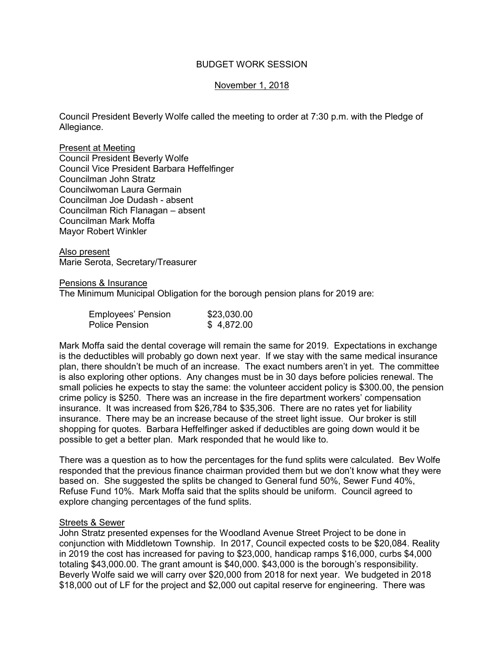# BUDGET WORK SESSION

# November 1, 2018

Council President Beverly Wolfe called the meeting to order at 7:30 p.m. with the Pledge of Allegiance.

Present at Meeting Council President Beverly Wolfe Council Vice President Barbara Heffelfinger Councilman John Stratz Councilwoman Laura Germain Councilman Joe Dudash - absent Councilman Rich Flanagan – absent Councilman Mark Moffa Mayor Robert Winkler

Also present Marie Serota, Secretary/Treasurer

### Pensions & Insurance

The Minimum Municipal Obligation for the borough pension plans for 2019 are:

| <b>Employees' Pension</b> | \$23,030.00 |
|---------------------------|-------------|
| <b>Police Pension</b>     | \$4,872.00  |

Mark Moffa said the dental coverage will remain the same for 2019. Expectations in exchange is the deductibles will probably go down next year. If we stay with the same medical insurance plan, there shouldn't be much of an increase. The exact numbers aren't in yet. The committee is also exploring other options. Any changes must be in 30 days before policies renewal. The small policies he expects to stay the same: the volunteer accident policy is \$300.00, the pension crime policy is \$250. There was an increase in the fire department workers' compensation insurance. It was increased from \$26,784 to \$35,306. There are no rates yet for liability insurance. There may be an increase because of the street light issue. Our broker is still shopping for quotes. Barbara Heffelfinger asked if deductibles are going down would it be possible to get a better plan. Mark responded that he would like to.

There was a question as to how the percentages for the fund splits were calculated. Bev Wolfe responded that the previous finance chairman provided them but we don't know what they were based on. She suggested the splits be changed to General fund 50%, Sewer Fund 40%, Refuse Fund 10%. Mark Moffa said that the splits should be uniform. Council agreed to explore changing percentages of the fund splits.

### Streets & Sewer

John Stratz presented expenses for the Woodland Avenue Street Project to be done in conjunction with Middletown Township. In 2017, Council expected costs to be \$20,084. Reality in 2019 the cost has increased for paving to \$23,000, handicap ramps \$16,000, curbs \$4,000 totaling \$43,000.00. The grant amount is \$40,000. \$43,000 is the borough's responsibility. Beverly Wolfe said we will carry over \$20,000 from 2018 for next year. We budgeted in 2018 \$18,000 out of LF for the project and \$2,000 out capital reserve for engineering. There was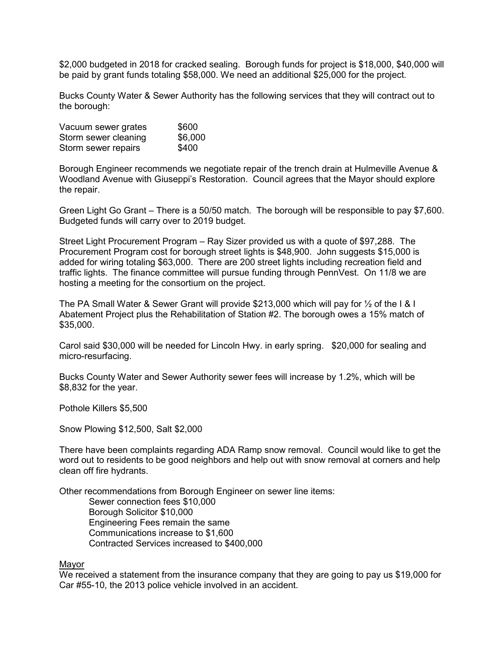\$2,000 budgeted in 2018 for cracked sealing. Borough funds for project is \$18,000, \$40,000 will be paid by grant funds totaling \$58,000. We need an additional \$25,000 for the project.

Bucks County Water & Sewer Authority has the following services that they will contract out to the borough:

| Vacuum sewer grates  | \$600   |
|----------------------|---------|
| Storm sewer cleaning | \$6,000 |
| Storm sewer repairs  | \$400   |

Borough Engineer recommends we negotiate repair of the trench drain at Hulmeville Avenue & Woodland Avenue with Giuseppi's Restoration. Council agrees that the Mayor should explore the repair.

Green Light Go Grant – There is a 50/50 match. The borough will be responsible to pay \$7,600. Budgeted funds will carry over to 2019 budget.

Street Light Procurement Program – Ray Sizer provided us with a quote of \$97,288. The Procurement Program cost for borough street lights is \$48,900. John suggests \$15,000 is added for wiring totaling \$63,000. There are 200 street lights including recreation field and traffic lights. The finance committee will pursue funding through PennVest. On 11/8 we are hosting a meeting for the consortium on the project.

The PA Small Water & Sewer Grant will provide \$213,000 which will pay for ½ of the I & I Abatement Project plus the Rehabilitation of Station #2. The borough owes a 15% match of \$35,000.

Carol said \$30,000 will be needed for Lincoln Hwy. in early spring. \$20,000 for sealing and micro-resurfacing.

Bucks County Water and Sewer Authority sewer fees will increase by 1.2%, which will be \$8,832 for the year.

Pothole Killers \$5,500

Snow Plowing \$12,500, Salt \$2,000

There have been complaints regarding ADA Ramp snow removal. Council would like to get the word out to residents to be good neighbors and help out with snow removal at corners and help clean off fire hydrants.

Other recommendations from Borough Engineer on sewer line items:

 Sewer connection fees \$10,000 Borough Solicitor \$10,000 Engineering Fees remain the same Communications increase to \$1,600 Contracted Services increased to \$400,000

#### Mayor

We received a statement from the insurance company that they are going to pay us \$19,000 for Car #55-10, the 2013 police vehicle involved in an accident.